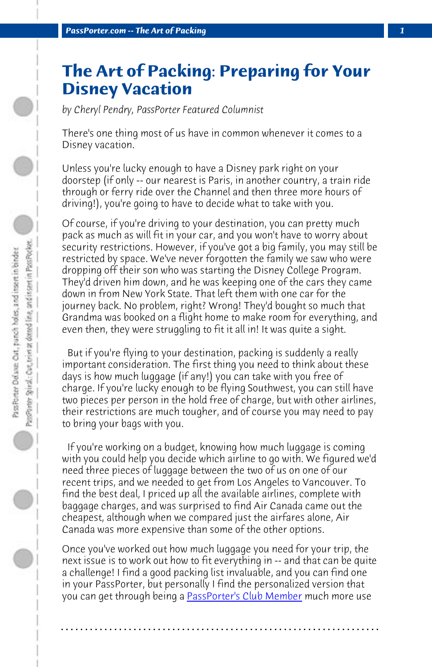**PassPorter.com -- The Art of Packing** 

## **The Art of Packing: Preparing for Your Disney Vacation**

*by Cheryl Pendry, PassPorter Featured Columnist*

There's one thing most of us have in common whenever it comes to a Disney vacation.

Unless you're lucky enough to have a Disney park right on your doorstep (if only -- our nearest is Paris, in another country, a train ride through or ferry ride over the Channel and then three more hours of driving!), you're going to have to decide what to take with you.

Of course, if you're driving to your destination, you can pretty much pack as much as will fit in your car, and you won't have to worry about security restrictions. However, if you've got a big family, you may still be restricted by space. We've never forgotten the family we saw who were dropping off their son who was starting the Disney College Program. They'd driven him down, and he was keeping one of the cars they came down in from New York State. That left them with one car for the journey back. No problem, right? Wrong! They'd bought so much that Grandma was booked on a flight home to make room for everything, and even then, they were struggling to fit it all in! It was quite a sight.

 But if you're flying to your destination, packing is suddenly a really important consideration. The first thing you need to think about these days is how much luggage (if any!) you can take with you free of charge. If you're lucky enough to be flying Southwest, you can still have two pieces per person in the [hold free of charge, but wi](http://www.passporter.com/club)th other airlines, their restrictions are much tougher, and of course you may need to pay to bring your bags with you.

 If you're working on a budget, knowing how much luggage is coming with you could help you decide which airline to go with. We figured we'd need three pieces of luggage between the two of us on one of our recent trips, and we needed to get from Los Angeles to Vancouver. To find the best deal, I priced up all the available airlines, complete with baggage charges, and was surprised to find Air Canada came out the cheapest, although when we compared just the airfares alone, Air Canada was more expensive than some of the other options.

Once you've worked out how much luggage you need for your trip, the next issue is to work out how to fit everything in -- and that can be quite a challenge! I find a good packing list invaluable, and you can find one in your PassPorter, but personally I find the personalized version that you can get through being a PassPorter's Club Member much more use

**. . . . . . . . . . . . . . . . . . . . . . . . . . . . . . . . . . . . . . . . . . . . . . . . . . . . . . . . . . . . . . . . . .**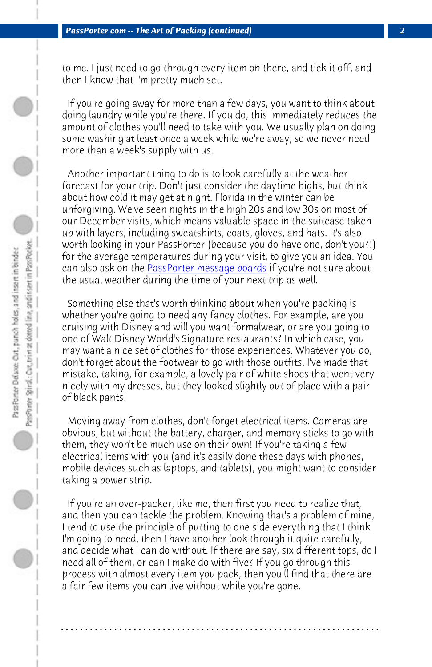*PassPorter.com -- The Art of Packing (continued) 2*

to me. I just need t[o go through every item on t](http://www.passporterboards.com)here, and tick it off, and then I know that I'm pretty much set.

 If you're going away for more than a few days, you want to think about doing laundry while you're there. If you do, this immediately reduces the amount of clothes you'll need to take with you. We usually plan on doing some washing at least once a week while we're away, so we never need more than a week's supply with us.

 Another important thing to do is to look carefully at the weather forecast for your trip. Don't just consider the daytime highs, but think about how cold it may get at night. Florida in the winter can be unforgiving. We've seen nights in the high 20s and low 30s on most of our December visits, which means valuable space in the suitcase taken up with layers, including sweatshirts, coats, gloves, and hats. It's also worth looking in your PassPorter (because you do have one, don't you?!) for the average temperatures during your visit, to give you an idea. You can also ask on the **PassPorter message boards** if you're not sure about the usual weather during the time of your next trip as well.

 Something else that's worth thinking about when you're packing is whether you're going to need any fancy clothes. For example, are you cruising with Disney and will you want formalwear, or are you going to one of Walt Disney World's Signature restaurants? In which case, you may want a nice set of clothes for those experiences. Whatever you do, don't forget about the footwear to go with those outfits. I've made that mistake, taking, for example, a lovely pair of white shoes that went very nicely with my dresses, but they looked slightly out of place with a pair of black pants!

 Moving away from clothes, don't forget electrical items. Cameras are obvious, but without the battery, charger, and memory sticks to go with them, they won't be much use on their own! If you're taking a few electrical items with you (and it's easily done these days with phones, mobile devices such as laptops, and tablets), you might want to consider taking a power strip.

 If you're an over-packer, like me, then first you need to realize that, and then you can tackle the problem. Knowing that's a problem of mine, I tend to use the principle of putting to one side everything that I think I'm going to need, then I have another look through it quite carefully, and decide what I can do without. If there are say, six different tops, do I need all of them, or can I make do with five? If you go through this process with almost every item you pack, then you'll find that there are a fair few items you can live without while you're gone.

**. . . . . . . . . . . . . . . . . . . . . . . . . . . . . . . . . . . . . . . . . . . . . . . . . . . . . . . . . . . . . . . . . .**